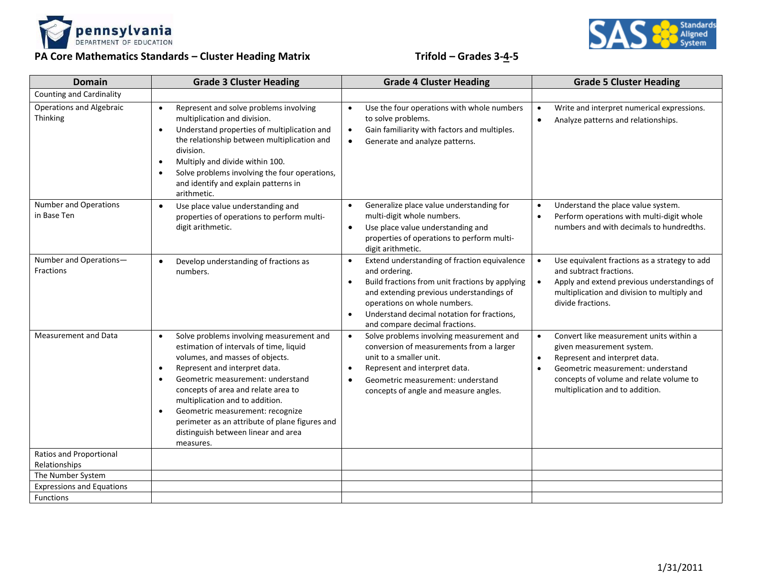



## **PA Core Mathematics Standards – Cluster Heading Matrix Trifold – Grades 3-4-5**

| <b>Domain</b>                                   | <b>Grade 3 Cluster Heading</b>                                                                                                                                                                                                                                                                                                                                                                                                                                       | <b>Grade 4 Cluster Heading</b>                                                                                                                                                                                                                                                                                      | <b>Grade 5 Cluster Heading</b>                                                                                                                                                                                                                                  |
|-------------------------------------------------|----------------------------------------------------------------------------------------------------------------------------------------------------------------------------------------------------------------------------------------------------------------------------------------------------------------------------------------------------------------------------------------------------------------------------------------------------------------------|---------------------------------------------------------------------------------------------------------------------------------------------------------------------------------------------------------------------------------------------------------------------------------------------------------------------|-----------------------------------------------------------------------------------------------------------------------------------------------------------------------------------------------------------------------------------------------------------------|
| <b>Counting and Cardinality</b>                 |                                                                                                                                                                                                                                                                                                                                                                                                                                                                      |                                                                                                                                                                                                                                                                                                                     |                                                                                                                                                                                                                                                                 |
| <b>Operations and Algebraic</b><br>Thinking     | Represent and solve problems involving<br>$\bullet$<br>multiplication and division.<br>Understand properties of multiplication and<br>$\bullet$<br>the relationship between multiplication and<br>division.<br>Multiply and divide within 100.<br>$\bullet$<br>Solve problems involving the four operations,<br>$\bullet$<br>and identify and explain patterns in<br>arithmetic.                                                                                     | Use the four operations with whole numbers<br>$\bullet$<br>to solve problems.<br>Gain familiarity with factors and multiples.<br>$\bullet$<br>Generate and analyze patterns.<br>$\bullet$                                                                                                                           | Write and interpret numerical expressions.<br>$\bullet$<br>Analyze patterns and relationships.<br>$\bullet$                                                                                                                                                     |
| <b>Number and Operations</b><br>in Base Ten     | Use place value understanding and<br>$\bullet$<br>properties of operations to perform multi-<br>digit arithmetic.                                                                                                                                                                                                                                                                                                                                                    | Generalize place value understanding for<br>$\bullet$<br>multi-digit whole numbers.<br>Use place value understanding and<br>$\bullet$<br>properties of operations to perform multi-<br>digit arithmetic.                                                                                                            | Understand the place value system.<br>$\bullet$<br>Perform operations with multi-digit whole<br>$\bullet$<br>numbers and with decimals to hundredths.                                                                                                           |
| Number and Operations-<br>Fractions             | Develop understanding of fractions as<br>$\bullet$<br>numbers.                                                                                                                                                                                                                                                                                                                                                                                                       | Extend understanding of fraction equivalence<br>$\bullet$<br>and ordering.<br>Build fractions from unit fractions by applying<br>$\bullet$<br>and extending previous understandings of<br>operations on whole numbers.<br>Understand decimal notation for fractions,<br>$\bullet$<br>and compare decimal fractions. | Use equivalent fractions as a strategy to add<br>$\bullet$<br>and subtract fractions.<br>Apply and extend previous understandings of<br>multiplication and division to multiply and<br>divide fractions.                                                        |
| Measurement and Data                            | Solve problems involving measurement and<br>$\bullet$<br>estimation of intervals of time, liquid<br>volumes, and masses of objects.<br>Represent and interpret data.<br>$\bullet$<br>Geometric measurement: understand<br>$\bullet$<br>concepts of area and relate area to<br>multiplication and to addition.<br>Geometric measurement: recognize<br>$\bullet$<br>perimeter as an attribute of plane figures and<br>distinguish between linear and area<br>measures. | Solve problems involving measurement and<br>$\bullet$<br>conversion of measurements from a larger<br>unit to a smaller unit.<br>Represent and interpret data.<br>$\bullet$<br>Geometric measurement: understand<br>$\bullet$<br>concepts of angle and measure angles.                                               | Convert like measurement units within a<br>$\bullet$<br>given measurement system.<br>Represent and interpret data.<br>$\bullet$<br>Geometric measurement: understand<br>$\bullet$<br>concepts of volume and relate volume to<br>multiplication and to addition. |
| <b>Ratios and Proportional</b><br>Relationships |                                                                                                                                                                                                                                                                                                                                                                                                                                                                      |                                                                                                                                                                                                                                                                                                                     |                                                                                                                                                                                                                                                                 |
| The Number System                               |                                                                                                                                                                                                                                                                                                                                                                                                                                                                      |                                                                                                                                                                                                                                                                                                                     |                                                                                                                                                                                                                                                                 |
| <b>Expressions and Equations</b>                |                                                                                                                                                                                                                                                                                                                                                                                                                                                                      |                                                                                                                                                                                                                                                                                                                     |                                                                                                                                                                                                                                                                 |
| <b>Functions</b>                                |                                                                                                                                                                                                                                                                                                                                                                                                                                                                      |                                                                                                                                                                                                                                                                                                                     |                                                                                                                                                                                                                                                                 |